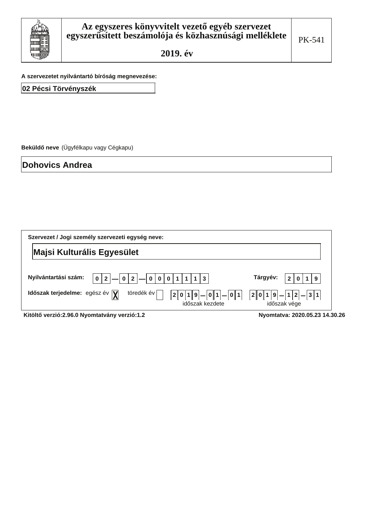

r

2019. év

Beküldő neve (Ügyfélkapu vagy Cégkapu)

**Dohovics Andrea** 

| Szervezet / Jogi személy szervezeti egység neve:                                                                                    |                                               |  |  |  |
|-------------------------------------------------------------------------------------------------------------------------------------|-----------------------------------------------|--|--|--|
| <b>Majsi Kulturális Egyesület</b>                                                                                                   |                                               |  |  |  |
| Nyilvántartási szám:<br>Tárgyév:<br>—│ 0│ 2│<br>$-0000111$<br> 1 3<br>$0 \mid 2$                                                    | 1 9                                           |  |  |  |
| töredék év<br>Időszak terjedelme: egész év $\overline{Y}$<br>$ 0 1  -  0 1$<br> 2  0  1 <br>$\overline{2}$<br>∥9<br>időszak kezdete | 2 <br>$-31$<br>1 <sup>1</sup><br>időszak vége |  |  |  |

Kitöltő verzió: 2.96.0 Nyomtatvány verzió: 1.2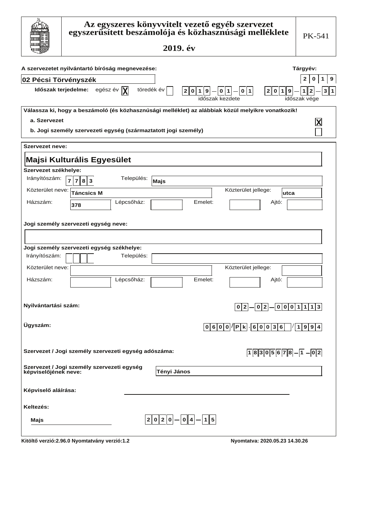|                                                           | Az egyszeres könyvvitelt vezető egyéb szervezet<br>egyszerűsített beszámolója és közhasznúsági melléklete<br>2019. év                                                                  | PK-541                                                                                                                     |
|-----------------------------------------------------------|----------------------------------------------------------------------------------------------------------------------------------------------------------------------------------------|----------------------------------------------------------------------------------------------------------------------------|
| 02 Pécsi Törvényszék<br>Időszak terjedelme:               | A szervezetet nyilvántartó bíróság megnevezése:<br>töredék év<br>egész év $ \mathbf{X} $<br>2 0 1 9                                                                                    | Tárgyév:<br>$\mathbf{2}$<br>0<br>1<br>9<br> 0 1 <br>0 1 9<br> 0 1 <br>$2\ $<br>1 2<br>3 1                                  |
| a. Szervezet                                              | időszak kezdete<br>Válassza ki, hogy a beszámoló (és közhasznúsági melléklet) az alábbiak közül melyikre vonatkozik!<br>b. Jogi személy szervezeti egység (származtatott jogi személy) | időszak vége<br>$\boldsymbol{\mathsf{X}}$                                                                                  |
| <b>Szervezet neve:</b>                                    |                                                                                                                                                                                        |                                                                                                                            |
|                                                           | <b>Majsi Kulturális Egyesület</b>                                                                                                                                                      |                                                                                                                            |
| Szervezet székhelye:<br>Irányítószám:<br>Közterület neve: | Település:<br> 8   3<br>$\overline{7}$<br>∣Majs<br><b>Táncsics M</b>                                                                                                                   | Közterület jellege:<br>utca                                                                                                |
| Házszám:                                                  | Lépcsőház:<br>Emelet:<br>378                                                                                                                                                           | Ajtó:                                                                                                                      |
| Irányítószám:<br>Közterület neve:<br>Házszám:             | Jogi személy szervezeti egység neve:<br>Jogi személy szervezeti egység székhelye:<br>Település:<br>Lépcsőház:<br>Emelet:                                                               | Közterület jellege:<br>Ajtó:                                                                                               |
| Nyilvántartási szám:<br>Ügyszám:                          |                                                                                                                                                                                        | $\boxed{0 2}-\boxed{0 2}-\boxed{0}\boxed{0}\boxed{1}\boxed{1}\boxed{3}$<br>$ 0 6 0 0 / P k  \cdot  6 0 0 3 6 $<br> 1 9 9 4 |
|                                                           | Szervezet / Jogi személy szervezeti egység adószáma:<br>Szervezet / Jogi személy szervezeti egység<br>képviselőjének neve:<br>Tényi János                                              | $18305678-1-02$                                                                                                            |
| Képviselő aláírása:                                       |                                                                                                                                                                                        |                                                                                                                            |
| Keltezés:                                                 |                                                                                                                                                                                        |                                                                                                                            |
| Majs                                                      | $ 2 0 2 0  -  0 4 -  1 5 $                                                                                                                                                             |                                                                                                                            |
|                                                           | Kitöltő verzió: 2.96.0 Nyomtatvány verzió: 1.2                                                                                                                                         | Nyomtatva: 2020.05.23 14.30.26                                                                                             |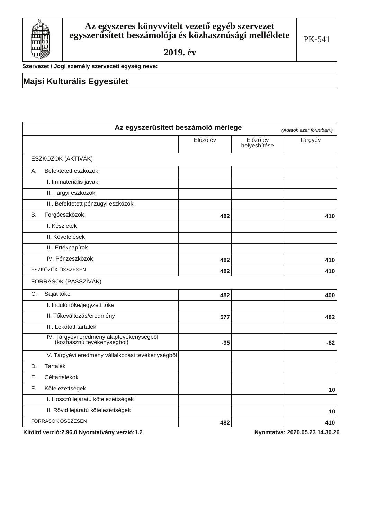

Szervezet / Jogi személy szervezeti egység neve:

## **Majsi Kulturális Egyesület**

| Az egyszerűsített beszámoló mérlege                                    |          |                          | (Adatok ezer forintban.) |
|------------------------------------------------------------------------|----------|--------------------------|--------------------------|
|                                                                        | Előző év | Előző év<br>helyesbítése | Tárgyév                  |
| ESZKÖZÖK (AKTÍVÁK)                                                     |          |                          |                          |
| Befektetett eszközök<br>Α.                                             |          |                          |                          |
| I. Immateriális javak                                                  |          |                          |                          |
| II. Tárgyi eszközök                                                    |          |                          |                          |
| III. Befektetett pénzügyi eszközök                                     |          |                          |                          |
| Forgóeszközök<br><b>B.</b>                                             | 482      |                          | 410                      |
| I. Készletek                                                           |          |                          |                          |
| II. Követelések                                                        |          |                          |                          |
| III. Értékpapírok                                                      |          |                          |                          |
| IV. Pénzeszközök                                                       | 482      |                          | 410                      |
| ESZKÖZÖK ÖSSZESEN                                                      | 482      |                          | 410                      |
| FORRÁSOK (PASSZÍVÁK)                                                   |          |                          |                          |
| Saját tőke<br>$C_{\cdot}$                                              | 482      |                          | 400                      |
| I. Induló tőke/jegyzett tőke                                           |          |                          |                          |
| II. Tőkeváltozás/eredmény                                              | 577      |                          | 482                      |
| III. Lekötött tartalék                                                 |          |                          |                          |
| IV. Tárgyévi eredmény alaptevékenységből<br>(közhasznú tevékenységből) | -95      |                          | $-82$                    |
| V. Tárgyévi eredmény vállalkozási tevékenységből                       |          |                          |                          |
| Tartalék<br>D.                                                         |          |                          |                          |
| Céltartalékok<br>Е.                                                    |          |                          |                          |
| Kötelezettségek<br>F.                                                  |          |                          | 10                       |
| I. Hosszú lejáratú kötelezettségek                                     |          |                          |                          |
| II. Rövid lejáratú kötelezettségek                                     |          |                          | 10                       |
| FORRÁSOK ÖSSZESEN                                                      | 482      |                          | 410                      |

Kitöltő verzió: 2.96.0 Nyomtatvány verzió: 1.2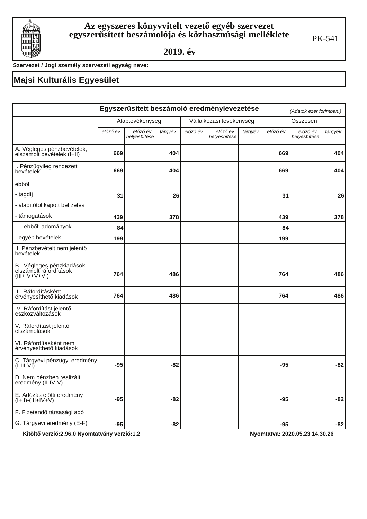

Szervezet / Jogi személy szervezeti egység neve:

## Majsi Kulturális Egyesület

|                                                                       |          |                          |         |          | Egyszerűsített beszámoló eredménylevezetése |         |          | (Adatok ezer forintban.) |         |
|-----------------------------------------------------------------------|----------|--------------------------|---------|----------|---------------------------------------------|---------|----------|--------------------------|---------|
|                                                                       |          | Alaptevékenység          |         |          | Vállalkozási tevékenység                    |         |          | Összesen                 |         |
|                                                                       | előző év | előző év<br>helyesbítése | tárgyév | előző év | előző év<br>helyesbítése                    | tárgyév | előző év | előző év<br>helyesbítése | tárgyév |
| A. Végleges pénzbevételek,<br>elszámolt bevételek (I+II)              | 669      |                          | 404     |          |                                             |         | 669      |                          | 404     |
| I. Pénzügyileg rendezett<br>bevételek                                 | 669      |                          | 404     |          |                                             |         | 669      |                          | 404     |
| ebből:                                                                |          |                          |         |          |                                             |         |          |                          |         |
| - tagdíj                                                              | 31       |                          | 26      |          |                                             |         | 31       |                          | 26      |
| - alapítótól kapott befizetés                                         |          |                          |         |          |                                             |         |          |                          |         |
| - támogatások                                                         | 439      |                          | 378     |          |                                             |         | 439      |                          | 378     |
| ebből: adományok                                                      | 84       |                          |         |          |                                             |         | 84       |                          |         |
| - egyéb bevételek                                                     | 199      |                          |         |          |                                             |         | 199      |                          |         |
| II. Pénzbevételt nem jelentő<br>bevételek                             |          |                          |         |          |                                             |         |          |                          |         |
| B. Végleges pénzkiadások,<br>elszámolt ráfordítások<br>$(III+V+V+VI)$ | 764      |                          | 486     |          |                                             |         | 764      |                          | 486     |
| III. Ráfordításként<br>érvényesíthető kiadások                        | 764      |                          | 486     |          |                                             |         | 764      |                          | 486     |
| IV. Ráfordítást jelentő<br>eszközváltozások                           |          |                          |         |          |                                             |         |          |                          |         |
| V. Ráfordítást jelentő<br>elszámolások                                |          |                          |         |          |                                             |         |          |                          |         |
| VI. Ráfordításként nem<br>érvényesíthető kiadások                     |          |                          |         |          |                                             |         |          |                          |         |
| C. Tárgyévi pénzügyi eredmény<br>$(I-III-VI)$                         | $-95$    |                          | $-82$   |          |                                             |         | $-95$    |                          | $-82$   |
| D. Nem pénzben realizált<br>eredmény (II-IV-V)                        |          |                          |         |          |                                             |         |          |                          |         |
| E. Adózás előtti eredmény<br>$(I+II)-(III+IV+V)$                      | $-95$    |                          | $-82$   |          |                                             |         | $-95$    |                          | $-82$   |
| F. Fizetendő társasági adó                                            |          |                          |         |          |                                             |         |          |                          |         |
| G. Tárgyévi eredmény (E-F)                                            | $-95$    |                          | $-82$   |          |                                             |         | $-95$    |                          | $-82$   |

Kitöltő verzió: 2.96.0 Nyomtatvány verzió: 1.2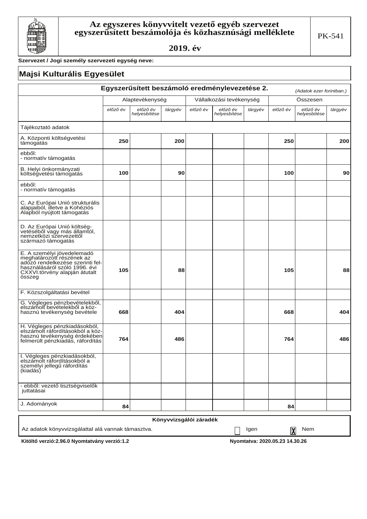

Szervezet / Jogi személy szervezeti egység neve:

### Majsi Kulturális Egyesület

|                                                                                                                                                                         |          |                          |         |                        | Egyszerűsített beszámoló eredménylevezetése 2. |         |                                | (Adatok ezer forintban.) |                 |
|-------------------------------------------------------------------------------------------------------------------------------------------------------------------------|----------|--------------------------|---------|------------------------|------------------------------------------------|---------|--------------------------------|--------------------------|-----------------|
|                                                                                                                                                                         |          | Alaptevékenység          |         |                        | Vállalkozási tevékenység                       |         |                                | Összesen                 |                 |
|                                                                                                                                                                         | előző év | előző év<br>helyesbítése | tárgyév | előző év               | előző év<br>helyesbítése                       | tárgyév | előző év                       | előző év<br>helyesbítése | tárgyév         |
| Tájékoztató adatok                                                                                                                                                      |          |                          |         |                        |                                                |         |                                |                          |                 |
| A. Központi költségvetési<br>támogatás                                                                                                                                  | 250      |                          | 200     |                        |                                                |         | 250                            |                          | 200             |
| ebből:<br>- normatív támogatás                                                                                                                                          |          |                          |         |                        |                                                |         |                                |                          |                 |
| B. Helyi önkormányzati<br>költségvetési támogatás                                                                                                                       | 100      |                          | 90      |                        |                                                |         | 100                            |                          | 90 <sub>1</sub> |
| ebből:<br>- normatív támogatás                                                                                                                                          |          |                          |         |                        |                                                |         |                                |                          |                 |
| C. Az Európai Unió strukturális<br>alapjaiból, illetve a Kohéziós<br>Alapból nyújtott támogatás                                                                         |          |                          |         |                        |                                                |         |                                |                          |                 |
| D. Az Európai Unió költség-<br>vetéséből vagy más államtól,<br>nemzetközi szervezettől<br>származó támogatás                                                            |          |                          |         |                        |                                                |         |                                |                          |                 |
| E. A személyi jövedelemadó<br>meghatározótt részének az<br>adózó rendelkezése szerinti fel-<br>használásáról szóló 1996. évi<br>CXXVI.törvény alapján átutalt<br>összeg | 105      |                          | 88      |                        |                                                |         | 105                            |                          | 88              |
| F. Közszolgáltatási bevétel                                                                                                                                             |          |                          |         |                        |                                                |         |                                |                          |                 |
| G. Végleges pénzbevételekből,<br>elszámolt bevételekből a köz-<br>hasznú tevékenység bevétele                                                                           | 668      |                          | 404     |                        |                                                |         | 668                            |                          | 404             |
| H. Végleges pénzkiadásokból,<br>elszámolt ráfordításokból a köz-<br>hasznú tevékenység érdekében<br>felmerült pénzkiadás, ráfordítás                                    | 764      |                          | 486     |                        |                                                |         | 764                            |                          | 486             |
| I. Végleges pénzkiadásokból,<br>elszámolt ráfordításokból a<br>személyi jellegű ráfordítás<br>(kiadás)                                                                  |          |                          |         |                        |                                                |         |                                |                          |                 |
| - ebből: vezető tisztségviselők<br>juttatásai                                                                                                                           |          |                          |         |                        |                                                |         |                                |                          |                 |
| J. Adományok                                                                                                                                                            | 84       |                          |         |                        |                                                |         | 84                             |                          |                 |
|                                                                                                                                                                         |          |                          |         | Könyvvizsgálói záradék |                                                |         |                                |                          |                 |
| Az adatok könyvvizsgálattal alá vannak támasztva.                                                                                                                       |          |                          |         |                        |                                                | Igen    | X                              | Nem                      |                 |
| Kitöltő verzió: 2.96.0 Nyomtatvány verzió: 1.2                                                                                                                          |          |                          |         |                        |                                                |         | Nyomtatva: 2020.05.23 14.30.26 |                          |                 |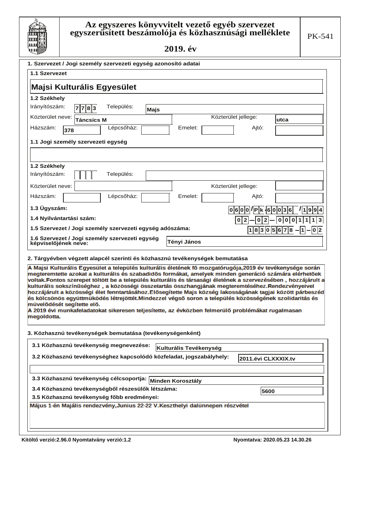

# Az egyszeres könyvvitelt vezető egyéb szervezet<br>egyszerűsített beszámolója és közhasznúsági melléklete

2019. év

| 1. Szervezet / Jogi személy szervezeti egység azonosító adatai                                                                                                                                                                                                                                                                                                                                                                                                                                                                                                                                                                                                                                                                                                                                                 |      |                        |                     |                                       |                                    |
|----------------------------------------------------------------------------------------------------------------------------------------------------------------------------------------------------------------------------------------------------------------------------------------------------------------------------------------------------------------------------------------------------------------------------------------------------------------------------------------------------------------------------------------------------------------------------------------------------------------------------------------------------------------------------------------------------------------------------------------------------------------------------------------------------------------|------|------------------------|---------------------|---------------------------------------|------------------------------------|
| 1.1 Szervezet                                                                                                                                                                                                                                                                                                                                                                                                                                                                                                                                                                                                                                                                                                                                                                                                  |      |                        |                     |                                       |                                    |
|                                                                                                                                                                                                                                                                                                                                                                                                                                                                                                                                                                                                                                                                                                                                                                                                                |      |                        |                     |                                       |                                    |
| <b>Majsi Kulturális Egyesület</b>                                                                                                                                                                                                                                                                                                                                                                                                                                                                                                                                                                                                                                                                                                                                                                              |      |                        |                     |                                       |                                    |
| 1.2 Székhely                                                                                                                                                                                                                                                                                                                                                                                                                                                                                                                                                                                                                                                                                                                                                                                                   |      |                        |                     |                                       |                                    |
| Irányítószám:<br>Település:<br> 7 7 8 3                                                                                                                                                                                                                                                                                                                                                                                                                                                                                                                                                                                                                                                                                                                                                                        | Majs |                        |                     |                                       |                                    |
| Közterület neve:<br><b>Táncsics M</b>                                                                                                                                                                                                                                                                                                                                                                                                                                                                                                                                                                                                                                                                                                                                                                          |      |                        | Közterület jellege: |                                       | utca                               |
| Lépcsőház:<br>Házszám:<br>378                                                                                                                                                                                                                                                                                                                                                                                                                                                                                                                                                                                                                                                                                                                                                                                  |      | Emelet:                |                     | Ajtó:                                 |                                    |
| 1.1 Jogi személy szervezeti egység                                                                                                                                                                                                                                                                                                                                                                                                                                                                                                                                                                                                                                                                                                                                                                             |      |                        |                     |                                       |                                    |
|                                                                                                                                                                                                                                                                                                                                                                                                                                                                                                                                                                                                                                                                                                                                                                                                                |      |                        |                     |                                       |                                    |
|                                                                                                                                                                                                                                                                                                                                                                                                                                                                                                                                                                                                                                                                                                                                                                                                                |      |                        |                     |                                       |                                    |
| 1.2 Székhely<br>Irányítószám:<br>Település:                                                                                                                                                                                                                                                                                                                                                                                                                                                                                                                                                                                                                                                                                                                                                                    |      |                        |                     |                                       |                                    |
| Közterület neve:                                                                                                                                                                                                                                                                                                                                                                                                                                                                                                                                                                                                                                                                                                                                                                                               |      |                        |                     |                                       |                                    |
|                                                                                                                                                                                                                                                                                                                                                                                                                                                                                                                                                                                                                                                                                                                                                                                                                |      |                        | Közterület jellege: |                                       |                                    |
| Házszám:<br>Lépcsőház:                                                                                                                                                                                                                                                                                                                                                                                                                                                                                                                                                                                                                                                                                                                                                                                         |      | Emelet:                |                     | Ajtó:                                 |                                    |
| 1.3 Ügyszám:                                                                                                                                                                                                                                                                                                                                                                                                                                                                                                                                                                                                                                                                                                                                                                                                   |      |                        |                     | $ 0 6 0 0 $ / $ P k $ - $ 6 0 0 3 6 $ | 1 1 9 9 4                          |
| 1.4 Nyilvántartási szám:                                                                                                                                                                                                                                                                                                                                                                                                                                                                                                                                                                                                                                                                                                                                                                                       |      |                        |                     | 0 2 <br>-  0   2                      | 0 0 0 1<br>1<br>1                  |
| 1.5 Szervezet / Jogi személy szervezeti egység adószáma:                                                                                                                                                                                                                                                                                                                                                                                                                                                                                                                                                                                                                                                                                                                                                       |      |                        |                     |                                       | $ 1 8 3 0 5 6 7 8 - 1 $<br>$- 0 2$ |
| 1.6 Szervezet / Jogi személy szervezeti egység<br>képviselőjének neve:                                                                                                                                                                                                                                                                                                                                                                                                                                                                                                                                                                                                                                                                                                                                         |      | Tényi János            |                     |                                       |                                    |
|                                                                                                                                                                                                                                                                                                                                                                                                                                                                                                                                                                                                                                                                                                                                                                                                                |      |                        |                     |                                       |                                    |
| 2. Tárgyévben végzett alapcél szerinti és közhasznú tevékenységek bemutatása                                                                                                                                                                                                                                                                                                                                                                                                                                                                                                                                                                                                                                                                                                                                   |      |                        |                     |                                       |                                    |
| A Majsi Kulturális Egyesület a település kulturális életének fő mozgatórugója,2019 év tevékenysége során<br>megteremtette azokat a kulturális és szabadidős formákat, amelyek minden generáció számára elérhetőek<br>voltak.Fontos szerepet töltött be a település kulturális és társasági életének a szervezésében , hozzájárult a<br>kulturális sokszínűséghez, a közösségi összetartás összhangjának megteremtéséhez.Rendezvényeivel<br>hozzájárult a közösségi élet fenntartásához.Elősegítette Majs község lakosságának tagjai között párbeszéd<br>és kölcsönös együttmüködés létrejöttét.Mindezzel végső soron a település közösségének szolidaritás és<br>müvelődését segítette elő.<br>A 2019 évi munkafeladatokat sikeresen teljesítette, az évközben felmerülő problémákat rugalmasan<br>megoldotta. |      |                        |                     |                                       |                                    |
| 3. Közhasznú tevékenységek bemutatása (tevékenységenként)                                                                                                                                                                                                                                                                                                                                                                                                                                                                                                                                                                                                                                                                                                                                                      |      |                        |                     |                                       |                                    |
| 3.1 Közhasznú tevékenység megnevezése:                                                                                                                                                                                                                                                                                                                                                                                                                                                                                                                                                                                                                                                                                                                                                                         |      | Kulturális Tevékenység |                     |                                       |                                    |
| 3.2 Közhasznú tevékenységhez kapcsolódó közfeladat, jogszabályhely:                                                                                                                                                                                                                                                                                                                                                                                                                                                                                                                                                                                                                                                                                                                                            |      |                        |                     | 2011.évi CLXXXIX.tv                   |                                    |
|                                                                                                                                                                                                                                                                                                                                                                                                                                                                                                                                                                                                                                                                                                                                                                                                                |      |                        |                     |                                       |                                    |
| 3.3 Közhasznú tevékenység célcsoportja: Minden Korosztály                                                                                                                                                                                                                                                                                                                                                                                                                                                                                                                                                                                                                                                                                                                                                      |      |                        |                     |                                       |                                    |
| 3.4 Közhasznú tevékenységből részesülők létszáma:                                                                                                                                                                                                                                                                                                                                                                                                                                                                                                                                                                                                                                                                                                                                                              |      |                        |                     | 5600                                  |                                    |
| 3.5 Közhasznú tevékenység főbb eredményei:                                                                                                                                                                                                                                                                                                                                                                                                                                                                                                                                                                                                                                                                                                                                                                     |      |                        |                     |                                       |                                    |
| Május 1-én Majális rendezvény, Junius 22-22 V. Keszthelyi dalünnepen részvétel                                                                                                                                                                                                                                                                                                                                                                                                                                                                                                                                                                                                                                                                                                                                 |      |                        |                     |                                       |                                    |
|                                                                                                                                                                                                                                                                                                                                                                                                                                                                                                                                                                                                                                                                                                                                                                                                                |      |                        |                     |                                       |                                    |
|                                                                                                                                                                                                                                                                                                                                                                                                                                                                                                                                                                                                                                                                                                                                                                                                                |      |                        |                     |                                       |                                    |

Kitöltő verzió: 2.96.0 Nyomtatvány verzió: 1.2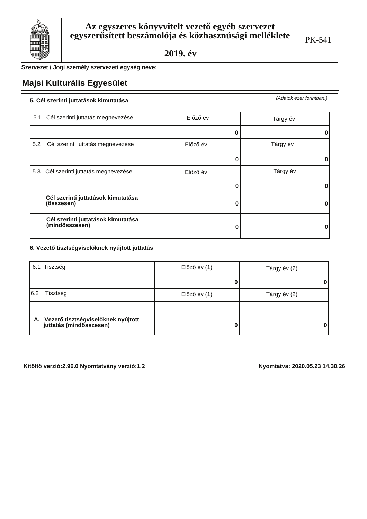

#### Szervezet / Jogi személy szervezeti egység neve:

## **Majsi Kulturális Egyesület**

#### 5. Cél szerinti juttatások kimutatása

(Adatok ezer forintban.)

| 5.1 | Cél szerinti juttatás megnevezése                    | Előző év | Tárgy év |
|-----|------------------------------------------------------|----------|----------|
|     |                                                      | 0        | 0        |
| 5.2 | Cél szerinti juttatás megnevezése                    | Előző év | Tárgy év |
|     |                                                      | 0        | n        |
|     | 5.3 Cél szerinti juttatás megnevezése                | Előző év | Tárgy év |
|     |                                                      | 0        | n        |
|     | Cél szerinti juttatások kimutatása<br>(összesen)     | o        |          |
|     | Cél szerinti juttatások kimutatása<br>(mindösszesen) | O        |          |

#### 6. Vezető tisztségviselőknek nyújtott juttatás

|     | 6.1 Tisztség                                                     | $El$ őző év $(1)$ | Tárgy év (2) |
|-----|------------------------------------------------------------------|-------------------|--------------|
|     |                                                                  | u                 |              |
| 6.2 | Tisztség                                                         | Előző év (1)      | Tárgy év (2) |
|     |                                                                  |                   |              |
|     | A. Vezető tisztségviselőknek nyújtott<br>juttatás (mindösszesen) | 0                 | 0            |
|     |                                                                  |                   |              |

Kitöltő verzió: 2.96.0 Nyomtatvány verzió: 1.2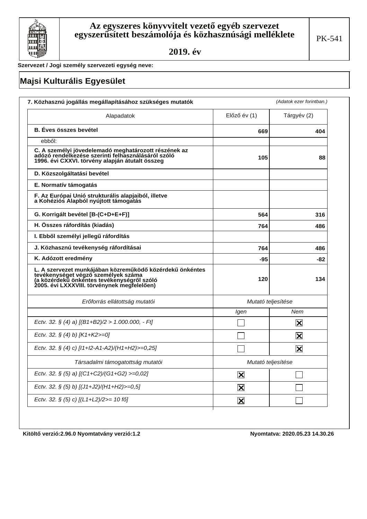

Szervezet / Jogi személy szervezeti egység neve:

# **Majsi Kulturális Egyesület**

| 7. Közhasznú jogállás megállapításához szükséges mutatók                                                                                                                                     |                         | (Adatok ezer forintban.) |
|----------------------------------------------------------------------------------------------------------------------------------------------------------------------------------------------|-------------------------|--------------------------|
| Alapadatok                                                                                                                                                                                   | Előző év (1)            | Tárgyév (2)              |
| <b>B.</b> Éves összes bevétel                                                                                                                                                                | 669                     | 404                      |
| ebből:                                                                                                                                                                                       |                         |                          |
| C. A személyi jövedelemadó meghatározott részének az<br>adózó rendelkezése szerinti felhasználásáról szóló<br>1996. évi CXXVI. törvény alapján átutalt összeg                                | 105                     | 88                       |
| D. Közszolgáltatási bevétel                                                                                                                                                                  |                         |                          |
| E. Normatív támogatás                                                                                                                                                                        |                         |                          |
| F. Az Európai Unió strukturális alapjaiból, illetve<br>a Kohéziós Alapból nyújtott támogatás                                                                                                 |                         |                          |
| G. Korrigált bevétel [B-(C+D+E+F)]                                                                                                                                                           | 564                     | 316                      |
| H. Összes ráfordítás (kiadás)                                                                                                                                                                | 764                     | 486                      |
| I. Ebből személyi jellegű ráfordítás                                                                                                                                                         |                         |                          |
| J. Közhasznú tevékenység ráfordításai                                                                                                                                                        | 764                     | 486                      |
| K. Adózott eredmény                                                                                                                                                                          | -95                     | -82                      |
| L. A szervezet munkájában közreműködő közérdekű önkéntes<br>tevékenységet végző személyek száma<br>(a közérdekű önkéntes tevékenységről szóló<br>2005. évi LXXXVIII. törvénynek megfelelően) | 120                     | 134                      |
| Erőforrás ellátottság mutatói                                                                                                                                                                | Mutató teljesítése      |                          |
|                                                                                                                                                                                              | Igen                    | Nem                      |
| Ectv. 32. § (4) a) $[(B1+B2)/2 > 1.000.000, -Ft]$                                                                                                                                            |                         | $\overline{\mathsf{x}}$  |
| Ectv. 32. § (4) b) [K1+K2>=0]                                                                                                                                                                |                         | $\overline{\mathsf{x}}$  |
| Ectv. 32. § (4) c) [I1+I2-A1-A2)/(H1+H2)>=0,25]                                                                                                                                              |                         | $\overline{\mathsf{x}}$  |
| Társadalmi támogatottság mutatói                                                                                                                                                             | Mutató teljesítése      |                          |
| Ectv. 32. § (5) a) [(C1+C2)/(G1+G2) >=0,02]                                                                                                                                                  | $ \mathbf{X} $          |                          |
| Ectv. 32. § (5) b) [(J1+J2)/(H1+H2)>=0,5]                                                                                                                                                    | $ \mathbf{x} $          |                          |
| Ectv. 32. § (5) c) [(L1+L2)/2>= 10 fő]                                                                                                                                                       | $\overline{\mathbf{X}}$ |                          |

Kitöltő verzió: 2.96.0 Nyomtatvány verzió: 1.2